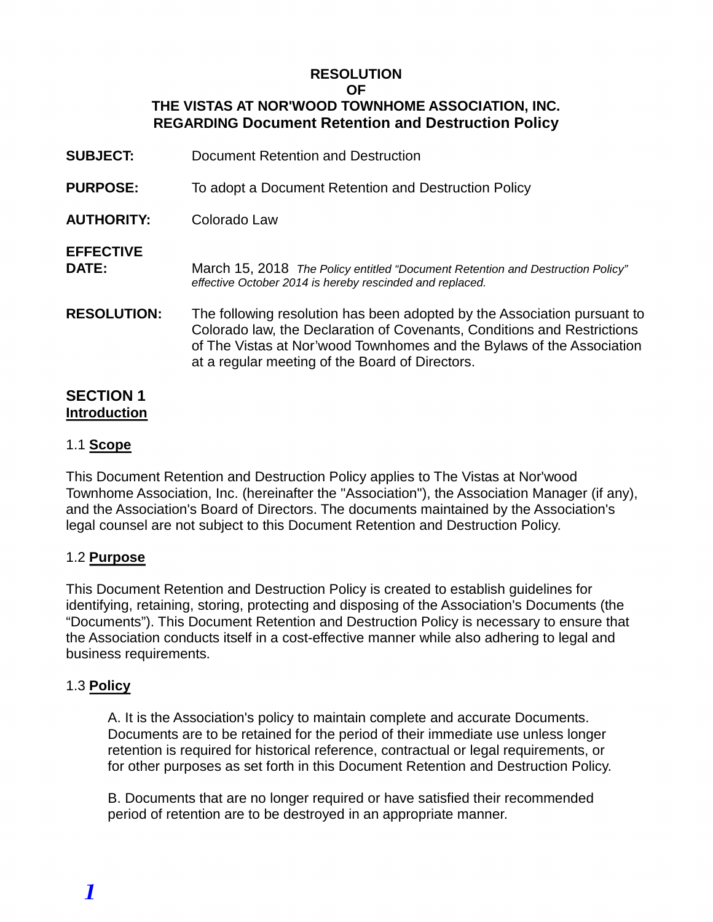#### **RESOLUTION OF THE VISTAS AT NOR'WOOD TOWNHOME ASSOCIATION, INC.**

**REGARDING Document Retention and Destruction Policy**

| <b>SUBJECT:</b>           | Document Retention and Destruction                                                                                                                                                                                                                                              |
|---------------------------|---------------------------------------------------------------------------------------------------------------------------------------------------------------------------------------------------------------------------------------------------------------------------------|
| <b>PURPOSE:</b>           | To adopt a Document Retention and Destruction Policy                                                                                                                                                                                                                            |
| <b>AUTHORITY:</b>         | Colorado Law                                                                                                                                                                                                                                                                    |
| <b>EFFECTIVE</b><br>DATE: | March 15, 2018 The Policy entitled "Document Retention and Destruction Policy"<br>effective October 2014 is hereby rescinded and replaced.                                                                                                                                      |
| <b>RESOLUTION:</b>        | The following resolution has been adopted by the Association pursuant to<br>Colorado law, the Declaration of Covenants, Conditions and Restrictions<br>of The Vistas at Nor'wood Townhomes and the Bylaws of the Association<br>at a regular meeting of the Board of Directors. |
| <b>SECTION 1</b>          |                                                                                                                                                                                                                                                                                 |

# **Introduction**

### 1.1 **Scope**

This Document Retention and Destruction Policy applies to The Vistas at Nor'wood Townhome Association, Inc. (hereinafter the "Association"), the Association Manager (if any), and the Association's Board of Directors. The documents maintained by the Association's legal counsel are not subject to this Document Retention and Destruction Policy.

### 1.2 **Purpose**

This Document Retention and Destruction Policy is created to establish guidelines for identifying, retaining, storing, protecting and disposing of the Association's Documents (the "Documents"). This Document Retention and Destruction Policy is necessary to ensure that the Association conducts itself in a cost-effective manner while also adhering to legal and business requirements.

#### 1.3 **Policy**

A. It is the Association's policy to maintain complete and accurate Documents. Documents are to be retained for the period of their immediate use unless longer retention is required for historical reference, contractual or legal requirements, or for other purposes as set forth in this Document Retention and Destruction Policy.

B. Documents that are no longer required or have satisfied their recommended period of retention are to be destroyed in an appropriate manner.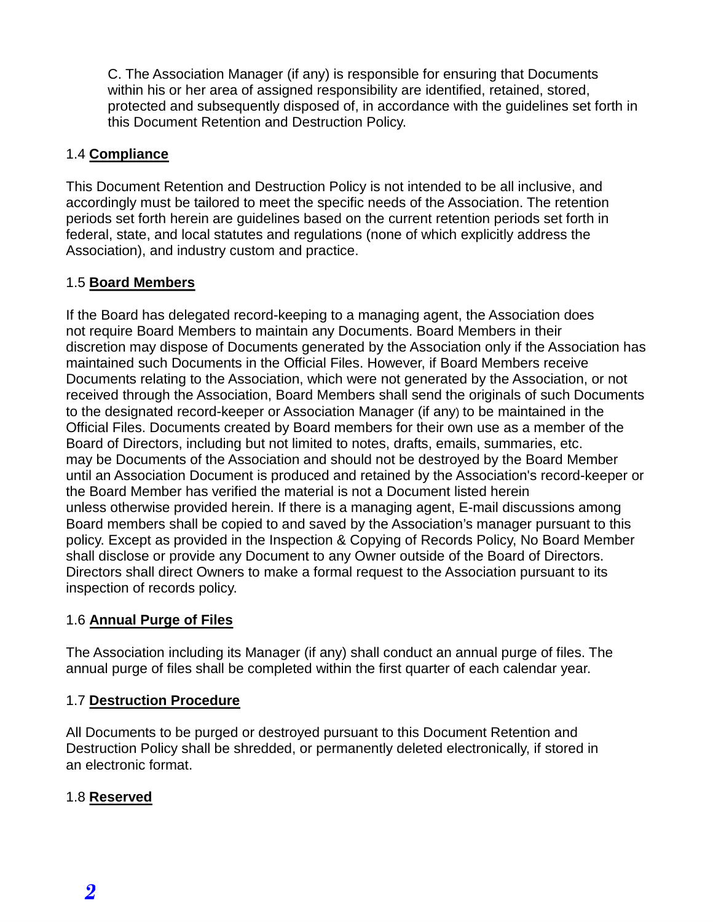C. The Association Manager (if any) is responsible for ensuring that Documents within his or her area of assigned responsibility are identified, retained, stored, protected and subsequently disposed of, in accordance with the guidelines set forth in this Document Retention and Destruction Policy.

### 1.4 **Compliance**

This Document Retention and Destruction Policy is not intended to be all inclusive, and accordingly must be tailored to meet the specific needs of the Association. The retention periods set forth herein are guidelines based on the current retention periods set forth in federal, state, and local statutes and regulations (none of which explicitly address the Association), and industry custom and practice.

## 1.5 **Board Members**

If the Board has delegated record-keeping to a managing agent, the Association does not require Board Members to maintain any Documents. Board Members in their discretion may dispose of Documents generated by the Association only if the Association has maintained such Documents in the Official Files. However, if Board Members receive Documents relating to the Association, which were not generated by the Association, or not received through the Association, Board Members shall send the originals of such Documents to the designated record-keeper or Association Manager (if any) to be maintained in the Official Files. Documents created by Board members for their own use as a member of the Board of Directors, including but not limited to notes, drafts, emails, summaries, etc. may be Documents of the Association and should not be destroyed by the Board Member until an Association Document is produced and retained by the Association's record-keeper or the Board Member has verified the material is not a Document listed herein unless otherwise provided herein. If there is a managing agent, E-mail discussions among Board members shall be copied to and saved by the Association's manager pursuant to this policy. Except as provided in the Inspection & Copying of Records Policy, No Board Member shall disclose or provide any Document to any Owner outside of the Board of Directors. Directors shall direct Owners to make a formal request to the Association pursuant to its inspection of records policy.

### 1.6 **Annual Purge of Files**

The Association including its Manager (if any) shall conduct an annual purge of files. The annual purge of files shall be completed within the first quarter of each calendar year.

### 1.7 **Destruction Procedure**

All Documents to be purged or destroyed pursuant to this Document Retention and Destruction Policy shall be shredded, or permanently deleted electronically, if stored in an electronic format.

# 1.8 **Reserved**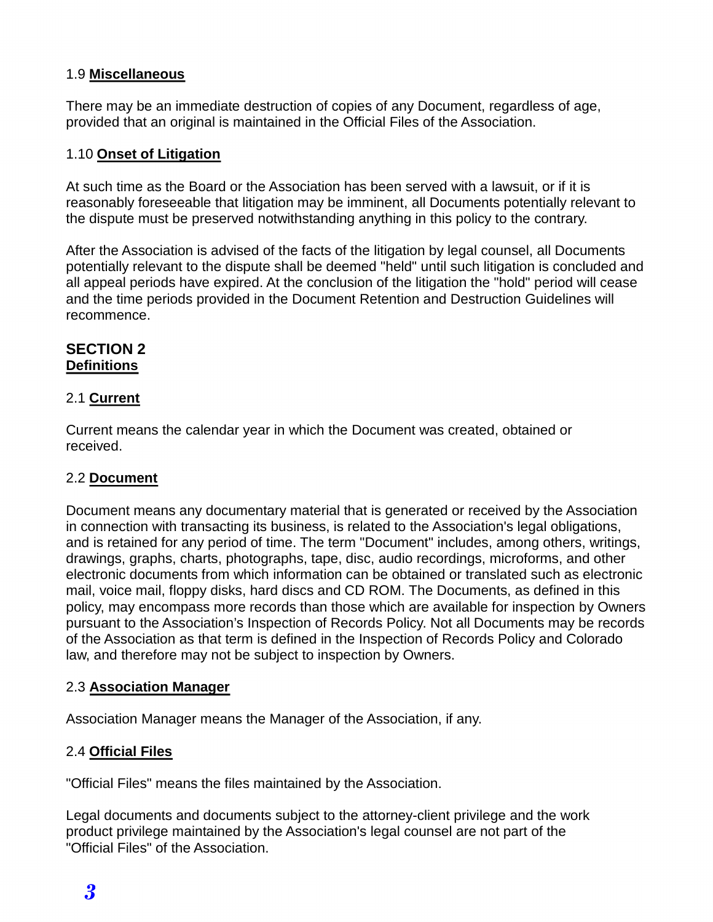#### 1.9 **Miscellaneous**

There may be an immediate destruction of copies of any Document, regardless of age, provided that an original is maintained in the Official Files of the Association.

#### 1.10 **Onset of Litigation**

At such time as the Board or the Association has been served with a lawsuit, or if it is reasonably foreseeable that litigation may be imminent, all Documents potentially relevant to the dispute must be preserved notwithstanding anything in this policy to the contrary.

After the Association is advised of the facts of the litigation by legal counsel, all Documents potentially relevant to the dispute shall be deemed "held" until such litigation is concluded and all appeal periods have expired. At the conclusion of the litigation the "hold" period will cease and the time periods provided in the Document Retention and Destruction Guidelines will recommence.

#### **SECTION 2 Definitions**

#### 2.1 **Current**

Current means the calendar year in which the Document was created, obtained or received.

### 2.2 **Document**

Document means any documentary material that is generated or received by the Association in connection with transacting its business, is related to the Association's legal obligations, and is retained for any period of time. The term "Document" includes, among others, writings, drawings, graphs, charts, photographs, tape, disc, audio recordings, microforms, and other electronic documents from which information can be obtained or translated such as electronic mail, voice mail, floppy disks, hard discs and CD ROM. The Documents, as defined in this policy, may encompass more records than those which are available for inspection by Owners pursuant to the Association's Inspection of Records Policy. Not all Documents may be records of the Association as that term is defined in the Inspection of Records Policy and Colorado law, and therefore may not be subject to inspection by Owners.

### 2.3 **Association Manager**

Association Manager means the Manager of the Association, if any.

### 2.4 **Official Files**

"Official Files" means the files maintained by the Association.

Legal documents and documents subject to the attorney-client privilege and the work product privilege maintained by the Association's legal counsel are not part of the "Official Files" of the Association.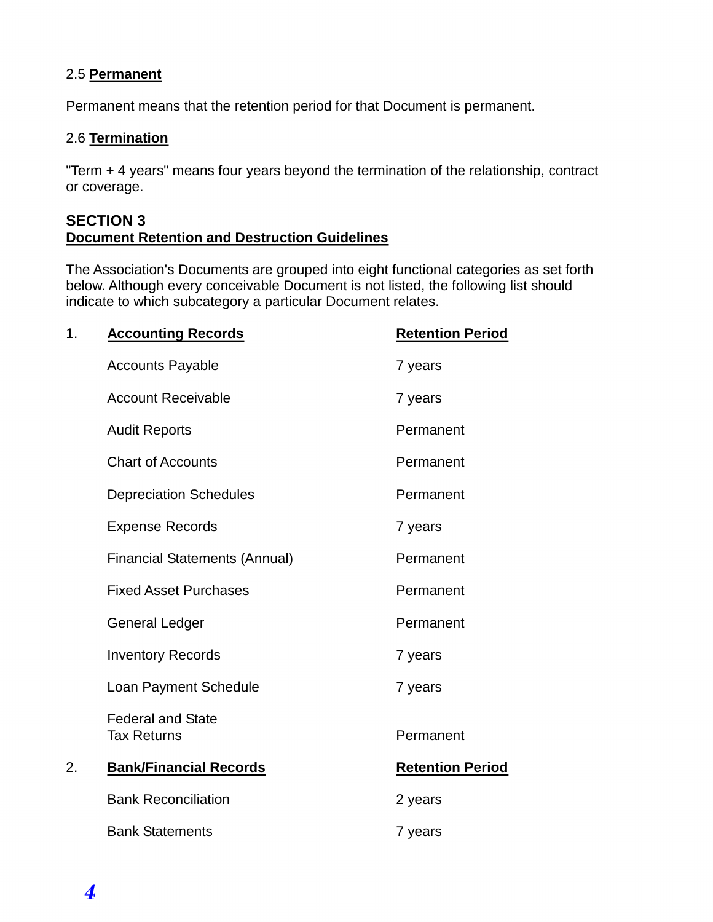#### 2.5 **Permanent**

Permanent means that the retention period for that Document is permanent.

### 2.6 **Termination**

"Term + 4 years" means four years beyond the termination of the relationship, contract or coverage.

#### **SECTION 3 Document Retention and Destruction Guidelines**

The Association's Documents are grouped into eight functional categories as set forth below. Although every conceivable Document is not listed, the following list should indicate to which subcategory a particular Document relates.

| 1. | <b>Accounting Records</b>                      | <b>Retention Period</b> |
|----|------------------------------------------------|-------------------------|
|    | <b>Accounts Payable</b>                        | 7 years                 |
|    | <b>Account Receivable</b>                      | 7 years                 |
|    | <b>Audit Reports</b>                           | Permanent               |
|    | <b>Chart of Accounts</b>                       | Permanent               |
|    | <b>Depreciation Schedules</b>                  | Permanent               |
|    | <b>Expense Records</b>                         | 7 years                 |
|    | <b>Financial Statements (Annual)</b>           | Permanent               |
|    | <b>Fixed Asset Purchases</b>                   | Permanent               |
|    | <b>General Ledger</b>                          | Permanent               |
|    | <b>Inventory Records</b>                       | 7 years                 |
|    | Loan Payment Schedule                          | 7 years                 |
|    | <b>Federal and State</b><br><b>Tax Returns</b> | Permanent               |
| 2. | <b>Bank/Financial Records</b>                  | <b>Retention Period</b> |
|    | <b>Bank Reconciliation</b>                     | 2 years                 |
|    | <b>Bank Statements</b>                         | 7 years                 |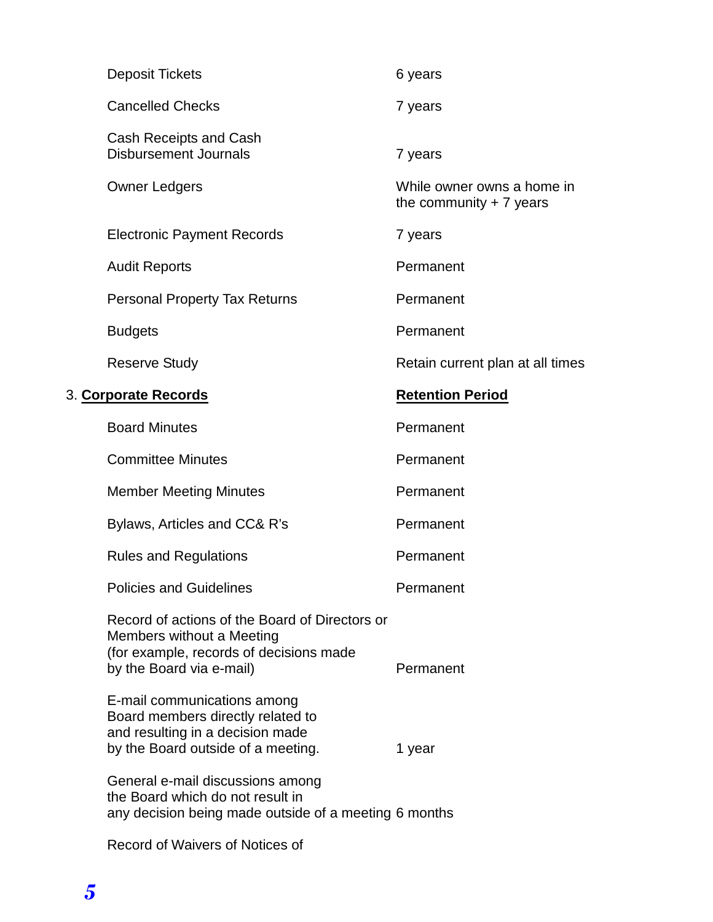| <b>Deposit Tickets</b>                                                                                                                             | 6 years                                                 |
|----------------------------------------------------------------------------------------------------------------------------------------------------|---------------------------------------------------------|
| <b>Cancelled Checks</b>                                                                                                                            | 7 years                                                 |
| Cash Receipts and Cash<br><b>Disbursement Journals</b>                                                                                             | 7 years                                                 |
| <b>Owner Ledgers</b>                                                                                                                               | While owner owns a home in<br>the community $+ 7$ years |
| <b>Electronic Payment Records</b>                                                                                                                  | 7 years                                                 |
| <b>Audit Reports</b>                                                                                                                               | Permanent                                               |
| <b>Personal Property Tax Returns</b>                                                                                                               | Permanent                                               |
| <b>Budgets</b>                                                                                                                                     | Permanent                                               |
| <b>Reserve Study</b>                                                                                                                               | Retain current plan at all times                        |
| 3. Corporate Records                                                                                                                               | <b>Retention Period</b>                                 |
| <b>Board Minutes</b>                                                                                                                               | Permanent                                               |
| <b>Committee Minutes</b>                                                                                                                           | Permanent                                               |
| <b>Member Meeting Minutes</b>                                                                                                                      | Permanent                                               |
| Bylaws, Articles and CC& R's                                                                                                                       | Permanent                                               |
| <b>Rules and Regulations</b>                                                                                                                       | Permanent                                               |
| <b>Policies and Guidelines</b>                                                                                                                     | Permanent                                               |
| Record of actions of the Board of Directors or<br>Members without a Meeting<br>(for example, records of decisions made<br>by the Board via e-mail) | Permanent                                               |
| E-mail communications among<br>Board members directly related to<br>and resulting in a decision made<br>by the Board outside of a meeting.         | 1 year                                                  |
| General e-mail discussions among<br>the Board which do not result in<br>any decision being made outside of a meeting 6 months                      |                                                         |
| Record of Waivers of Notices of                                                                                                                    |                                                         |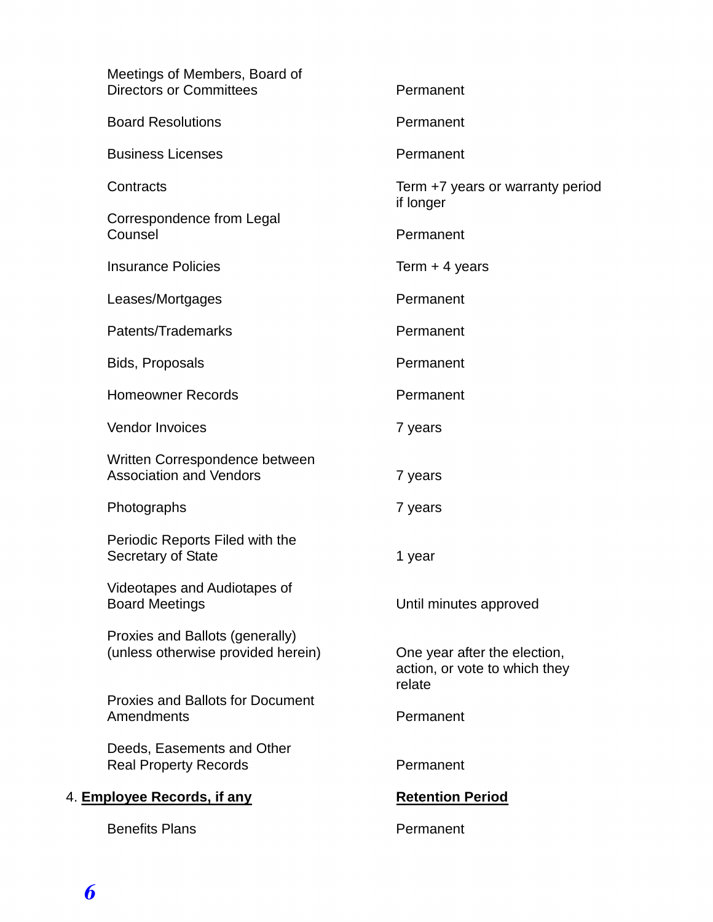| Meetings of Members, Board of<br><b>Directors or Committees</b>       | Permanent                                                               |
|-----------------------------------------------------------------------|-------------------------------------------------------------------------|
| <b>Board Resolutions</b>                                              | Permanent                                                               |
| <b>Business Licenses</b>                                              | Permanent                                                               |
| Contracts                                                             | Term +7 years or warranty period<br>if longer                           |
| Correspondence from Legal<br>Counsel                                  | Permanent                                                               |
| <b>Insurance Policies</b>                                             | Term $+$ 4 years                                                        |
| Leases/Mortgages                                                      | Permanent                                                               |
| Patents/Trademarks                                                    | Permanent                                                               |
| Bids, Proposals                                                       | Permanent                                                               |
| <b>Homeowner Records</b>                                              | Permanent                                                               |
| <b>Vendor Invoices</b>                                                | 7 years                                                                 |
| Written Correspondence between<br><b>Association and Vendors</b>      | 7 years                                                                 |
| Photographs                                                           | 7 years                                                                 |
| Periodic Reports Filed with the<br>Secretary of State                 | 1 year                                                                  |
| Videotapes and Audiotapes of<br><b>Board Meetings</b>                 | Until minutes approved                                                  |
| Proxies and Ballots (generally)<br>(unless otherwise provided herein) | One year after the election,<br>action, or vote to which they<br>relate |
| <b>Proxies and Ballots for Document</b><br>Amendments                 | Permanent                                                               |
| Deeds, Easements and Other<br><b>Real Property Records</b>            | Permanent                                                               |
| 4. Employee Records, if any                                           | <b>Retention Period</b>                                                 |
| <b>Benefits Plans</b>                                                 | Permanent                                                               |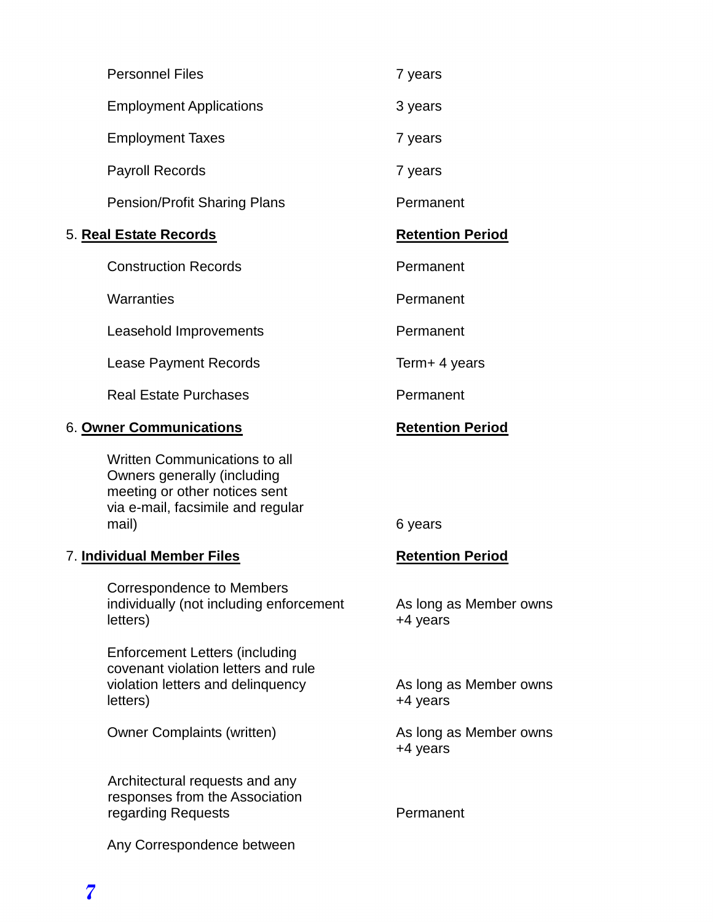|                            | <b>Personnel Files</b>                                                                                                                             | 7 years                      |
|----------------------------|----------------------------------------------------------------------------------------------------------------------------------------------------|------------------------------|
|                            | <b>Employment Applications</b>                                                                                                                     | 3 years                      |
|                            | <b>Employment Taxes</b>                                                                                                                            | 7 years                      |
|                            | <b>Payroll Records</b>                                                                                                                             | 7 years                      |
|                            | <b>Pension/Profit Sharing Plans</b>                                                                                                                | Permanent                    |
|                            | 5. <u>Real Estate Records</u>                                                                                                                      | <b>Retention Period</b>      |
|                            | <b>Construction Records</b>                                                                                                                        | Permanent                    |
|                            | Warranties                                                                                                                                         | Permanent                    |
|                            | Leasehold Improvements                                                                                                                             | Permanent                    |
|                            | <b>Lease Payment Records</b>                                                                                                                       | Term+ 4 years                |
|                            | <b>Real Estate Purchases</b>                                                                                                                       | Permanent                    |
|                            | 6. Owner Communications                                                                                                                            | <b>Retention Period</b>      |
|                            | <b>Written Communications to all</b><br>Owners generally (including<br>meeting or other notices sent<br>via e-mail, facsimile and regular<br>mail) | 6 years                      |
| 7. Individual Member Files |                                                                                                                                                    | <b>Retention Period</b>      |
|                            | Correspondence to Members<br>individually (not including enforcement<br>letters)                                                                   | As long as Membe<br>+4 years |
|                            | <b>Enforcement Letters (including</b><br>covenant violation letters and rule<br>violation letters and delinquency<br>letters)                      | As long as Membe<br>+4 years |

Owner Complaints (written) As long as Member owns

Architectural requests and any responses from the Association regarding Requests **Permanent** 

Any Correspondence between

ember owns

ember owns

+4 years